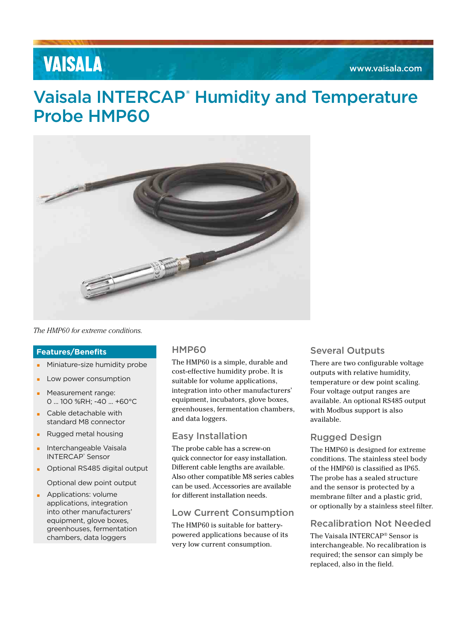# **VAISALA**

## Vaisala INTERCAP<sup>®</sup> Humidity and Temperature Probe HMP60



*The HMP60 for extreme conditions.*

#### **Features/Benefits**

- Miniature-size humidity probe
- Low power consumption
- Measurement range: 0 ... 100 %RH; -40 ... +60°C
- Cable detachable with standard M8 connector
- Rugged metal housing
- Interchangeable Vaisala INTERCAP<sup>®</sup> Sensor
- **Optional RS485 digital output**

Optional dew point output

**•** Applications: volume applications, integration into other manufacturers' equipment, glove boxes, greenhouses, fermentation chambers, data loggers

## HMP60

The HMP60 is a simple, durable and cost-effective humidity probe. It is suitable for volume applications, integration into other manufacturers' equipment, incubators, glove boxes, greenhouses, fermentation chambers, and data loggers.

### Easy Installation

The probe cable has a screw-on quick connector for easy installation. Different cable lengths are available. Also other compatible M8 series cables can be used. Accessories are available for different installation needs.

### Low Current Consumption

The HMP60 is suitable for batterypowered applications because of its very low current consumption.

### Several Outputs

There are two configurable voltage outputs with relative humidity, temperature or dew point scaling. Four voltage output ranges are available. An optional RS485 output with Modbus support is also available.

## Rugged Design

The HMP60 is designed for extreme conditions. The stainless steel body of the HMP60 is classified as IP65. The probe has a sealed structure and the sensor is protected by a membrane filter and a plastic grid, or optionally by a stainless steel filter.

## Recalibration Not Needed

The Vaisala INTERCAP® Sensor is interchangeable. No recalibration is required; the sensor can simply be replaced, also in the field.